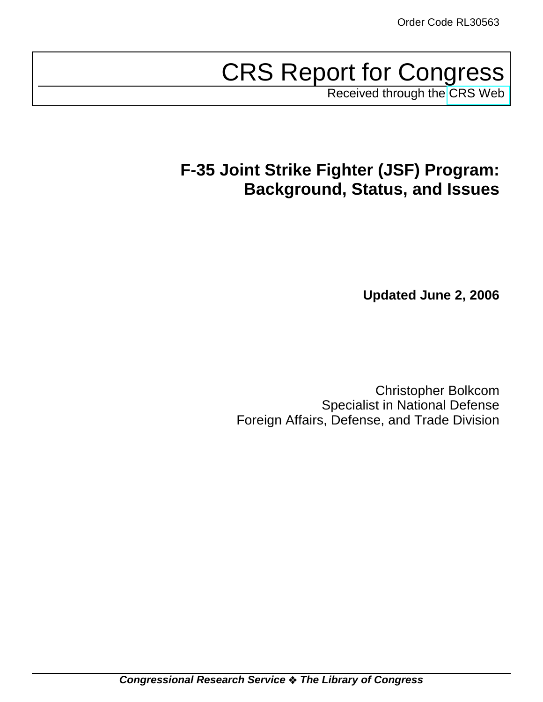# CRS Report for Congress

Received through the [CRS Web](http://www.fas.org/sgp/crs/weapons/index.html)

# **F-35 Joint Strike Fighter (JSF) Program: Background, Status, and Issues**

**Updated June 2, 2006**

Christopher Bolkcom Specialist in National Defense Foreign Affairs, Defense, and Trade Division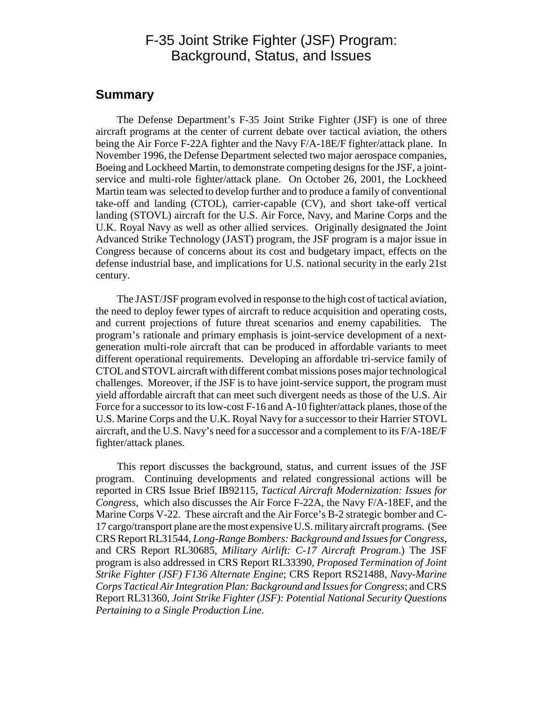### F-35 Joint Strike Fighter (JSF) Program: Background, Status, and Issues

#### **Summary**

The Defense Department's F-35 Joint Strike Fighter (JSF) is one of three aircraft programs at the center of current debate over tactical aviation, the others being the Air Force F-22A fighter and the Navy F/A-18E/F fighter/attack plane. In November 1996, the Defense Department selected two major aerospace companies, Boeing and Lockheed Martin, to demonstrate competing designs for the JSF, a jointservice and multi-role fighter/attack plane. On October 26, 2001, the Lockheed Martin team was selected to develop further and to produce a family of conventional take-off and landing (CTOL), carrier-capable (CV), and short take-off vertical landing (STOVL) aircraft for the U.S. Air Force, Navy, and Marine Corps and the U.K. Royal Navy as well as other allied services. Originally designated the Joint Advanced Strike Technology (JAST) program, the JSF program is a major issue in Congress because of concerns about its cost and budgetary impact, effects on the defense industrial base, and implications for U.S. national security in the early 21st century.

The JAST/JSF program evolved in response to the high cost of tactical aviation, the need to deploy fewer types of aircraft to reduce acquisition and operating costs, and current projections of future threat scenarios and enemy capabilities. The program's rationale and primary emphasis is joint-service development of a nextgeneration multi-role aircraft that can be produced in affordable variants to meet different operational requirements. Developing an affordable tri-service family of CTOL and STOVL aircraft with different combat missions poses major technological challenges. Moreover, if the JSF is to have joint-service support, the program must yield affordable aircraft that can meet such divergent needs as those of the U.S. Air Force for a successor to its low-cost F-16 and A-10 fighter/attack planes, those of the U.S. Marine Corps and the U.K. Royal Navy for a successor to their Harrier STOVL aircraft, and the U.S. Navy's need for a successor and a complement to its F/A-18E/F fighter/attack planes.

This report discusses the background, status, and current issues of the JSF program. Continuing developments and related congressional actions will be reported in CRS Issue Brief IB92115, *Tactical Aircraft Modernization: Issues for Congress*, which also discusses the Air Force F-22A, the Navy F/A-18EF, and the Marine Corps V-22. These aircraft and the Air Force's B-2 strategic bomber and C-17 cargo/transport plane are the most expensive U.S. military aircraft programs. (See CRS Report RL31544, *Long-Range Bombers: Background and Issues for Congress*, and CRS Report RL30685, *Military Airlift: C-17 Aircraft Program*.) The JSF program is also addressed in CRS Report RL33390, *Proposed Termination of Joint Strike Fighter (JSF) F136 Alternate Engine*; CRS Report RS21488, *Navy-Marine Corps Tactical Air Integration Plan: Background and Issues for Congress*; and CRS Report RL31360, *Joint Strike Fighter (JSF): Potential National Security Questions Pertaining to a Single Production Line.*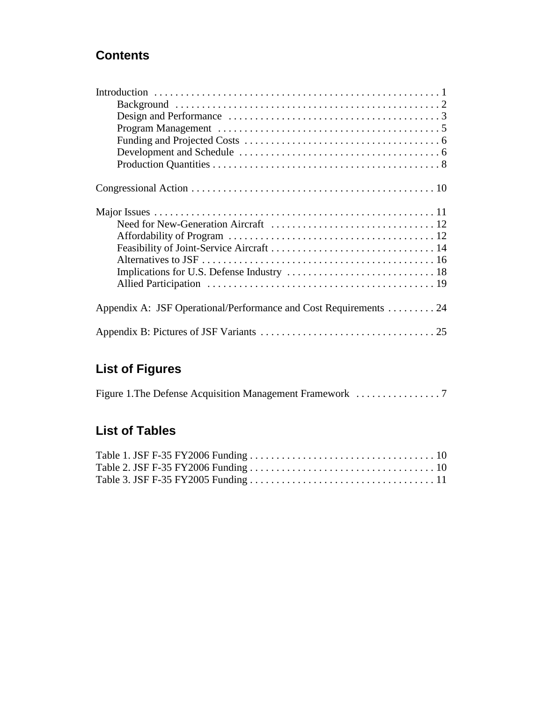## **Contents**

| Appendix A: JSF Operational/Performance and Cost Requirements 24 |
|------------------------------------------------------------------|
|                                                                  |

# **List of Figures**

# **List of Tables**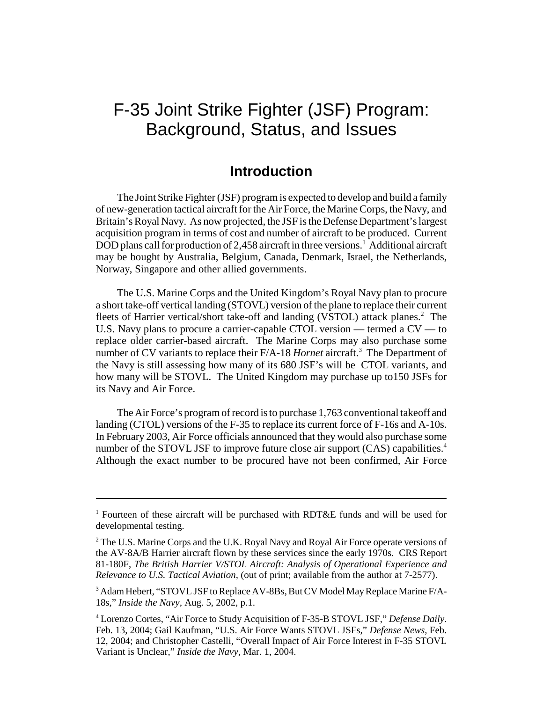# F-35 Joint Strike Fighter (JSF) Program: Background, Status, and Issues

### **Introduction**

The Joint Strike Fighter (JSF) program is expected to develop and build a family of new-generation tactical aircraft for the Air Force, the Marine Corps, the Navy, and Britain's Royal Navy. As now projected, the JSF is the Defense Department's largest acquisition program in terms of cost and number of aircraft to be produced. Current DOD plans call for production of 2,458 aircraft in three versions.<sup>1</sup> Additional aircraft may be bought by Australia, Belgium, Canada, Denmark, Israel, the Netherlands, Norway, Singapore and other allied governments.

The U.S. Marine Corps and the United Kingdom's Royal Navy plan to procure a short take-off vertical landing (STOVL) version of the plane to replace their current fleets of Harrier vertical/short take-off and landing (VSTOL) attack planes.<sup>2</sup> The U.S. Navy plans to procure a carrier-capable CTOL version — termed a CV — to replace older carrier-based aircraft. The Marine Corps may also purchase some number of CV variants to replace their F/A-18 *Hornet* aircraft.<sup>3</sup> The Department of the Navy is still assessing how many of its 680 JSF's will be CTOL variants, and how many will be STOVL. The United Kingdom may purchase up to150 JSFs for its Navy and Air Force.

The Air Force's program of record is to purchase 1,763 conventional takeoff and landing (CTOL) versions of the F-35 to replace its current force of F-16s and A-10s. In February 2003, Air Force officials announced that they would also purchase some number of the STOVL JSF to improve future close air support (CAS) capabilities.<sup>4</sup> Although the exact number to be procured have not been confirmed, Air Force

<sup>&</sup>lt;sup>1</sup> Fourteen of these aircraft will be purchased with RDT&E funds and will be used for developmental testing.

<sup>&</sup>lt;sup>2</sup> The U.S. Marine Corps and the U.K. Royal Navy and Royal Air Force operate versions of the AV-8A/B Harrier aircraft flown by these services since the early 1970s. CRS Report 81-180F, *The British Harrier V/STOL Aircraft: Analysis of Operational Experience and Relevance to U.S. Tactical Aviation,* (out of print; available from the author at 7-2577).

<sup>&</sup>lt;sup>3</sup> Adam Hebert, "STOVL JSF to Replace AV-8Bs, But CV Model May Replace Marine F/A-18s," *Inside the Navy,* Aug. 5, 2002, p.1.

<sup>4</sup> Lorenzo Cortes, "Air Force to Study Acquisition of F-35-B STOVL JSF," *Defense Daily*. Feb. 13, 2004; Gail Kaufman, "U.S. Air Force Wants STOVL JSFs," *Defense News,* Feb. 12, 2004; and Christopher Castelli, "Overall Impact of Air Force Interest in F-35 STOVL Variant is Unclear," *Inside the Navy,* Mar. 1, 2004.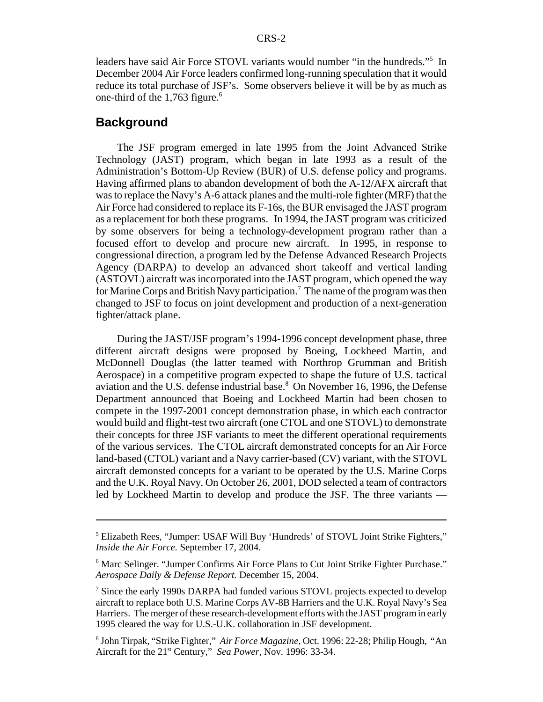leaders have said Air Force STOVL variants would number "in the hundreds."<sup>5</sup> In December 2004 Air Force leaders confirmed long-running speculation that it would reduce its total purchase of JSF's. Some observers believe it will be by as much as one-third of the 1,763 figure.<sup>6</sup>

#### **Background**

The JSF program emerged in late 1995 from the Joint Advanced Strike Technology (JAST) program, which began in late 1993 as a result of the Administration's Bottom-Up Review (BUR) of U.S. defense policy and programs. Having affirmed plans to abandon development of both the A-12/AFX aircraft that was to replace the Navy's A-6 attack planes and the multi-role fighter (MRF) that the Air Force had considered to replace its F-16s, the BUR envisaged the JAST program as a replacement for both these programs. In 1994, the JAST program was criticized by some observers for being a technology-development program rather than a focused effort to develop and procure new aircraft. In 1995, in response to congressional direction, a program led by the Defense Advanced Research Projects Agency (DARPA) to develop an advanced short takeoff and vertical landing (ASTOVL) aircraft was incorporated into the JAST program, which opened the way for Marine Corps and British Navy participation.<sup>7</sup> The name of the program was then changed to JSF to focus on joint development and production of a next-generation fighter/attack plane.

During the JAST/JSF program's 1994-1996 concept development phase, three different aircraft designs were proposed by Boeing, Lockheed Martin, and McDonnell Douglas (the latter teamed with Northrop Grumman and British Aerospace) in a competitive program expected to shape the future of U.S. tactical aviation and the U.S. defense industrial base.<sup>8</sup> On November 16, 1996, the Defense Department announced that Boeing and Lockheed Martin had been chosen to compete in the 1997-2001 concept demonstration phase, in which each contractor would build and flight-test two aircraft (one CTOL and one STOVL) to demonstrate their concepts for three JSF variants to meet the different operational requirements of the various services. The CTOL aircraft demonstrated concepts for an Air Force land-based (CTOL) variant and a Navy carrier-based (CV) variant, with the STOVL aircraft demonsted concepts for a variant to be operated by the U.S. Marine Corps and the U.K. Royal Navy. On October 26, 2001, DOD selected a team of contractors led by Lockheed Martin to develop and produce the JSF. The three variants —

<sup>&</sup>lt;sup>5</sup> Elizabeth Rees, "Jumper: USAF Will Buy 'Hundreds' of STOVL Joint Strike Fighters," *Inside the Air Force.* September 17, 2004.

<sup>&</sup>lt;sup>6</sup> Marc Selinger. "Jumper Confirms Air Force Plans to Cut Joint Strike Fighter Purchase." *Aerospace Daily & Defense Report.* December 15, 2004.

<sup>&</sup>lt;sup>7</sup> Since the early 1990s DARPA had funded various STOVL projects expected to develop aircraft to replace both U.S. Marine Corps AV-8B Harriers and the U.K. Royal Navy's Sea Harriers. The merger of these research-development efforts with the JAST program in early 1995 cleared the way for U.S.-U.K. collaboration in JSF development.

<sup>8</sup> John Tirpak, "Strike Fighter," *Air Force Magazine,* Oct. 1996: 22-28; Philip Hough, "An Aircraft for the 21<sup>st</sup> Century," *Sea Power*, Nov. 1996: 33-34.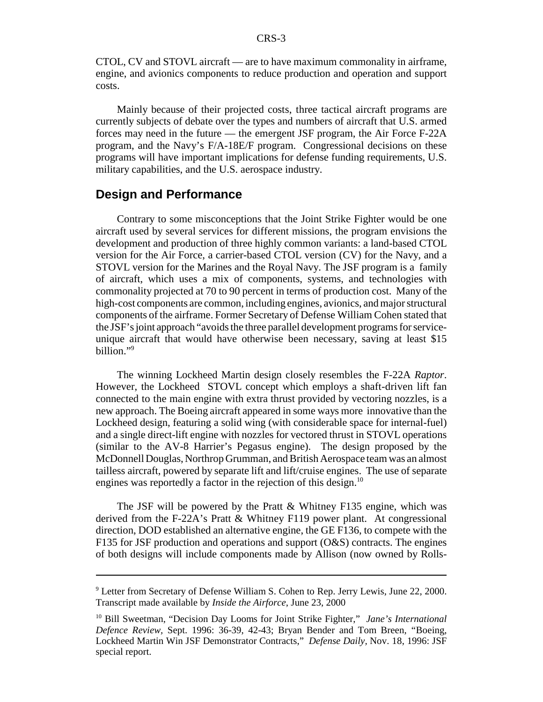CTOL, CV and STOVL aircraft — are to have maximum commonality in airframe, engine, and avionics components to reduce production and operation and support costs.

Mainly because of their projected costs, three tactical aircraft programs are currently subjects of debate over the types and numbers of aircraft that U.S. armed forces may need in the future — the emergent JSF program, the Air Force F-22A program, and the Navy's F/A-18E/F program. Congressional decisions on these programs will have important implications for defense funding requirements, U.S. military capabilities, and the U.S. aerospace industry.

#### **Design and Performance**

Contrary to some misconceptions that the Joint Strike Fighter would be one aircraft used by several services for different missions, the program envisions the development and production of three highly common variants: a land-based CTOL version for the Air Force, a carrier-based CTOL version (CV) for the Navy, and a STOVL version for the Marines and the Royal Navy. The JSF program is a family of aircraft, which uses a mix of components, systems, and technologies with commonality projected at 70 to 90 percent in terms of production cost. Many of the high-cost components are common, including engines, avionics, and major structural components of the airframe. Former Secretary of Defense William Cohen stated that the JSF's joint approach "avoids the three parallel development programs for serviceunique aircraft that would have otherwise been necessary, saving at least \$15 billion."9

The winning Lockheed Martin design closely resembles the F-22A *Raptor*. However, the Lockheed STOVL concept which employs a shaft-driven lift fan connected to the main engine with extra thrust provided by vectoring nozzles, is a new approach. The Boeing aircraft appeared in some ways more innovative than the Lockheed design, featuring a solid wing (with considerable space for internal-fuel) and a single direct-lift engine with nozzles for vectored thrust in STOVL operations (similar to the AV-8 Harrier's Pegasus engine). The design proposed by the McDonnell Douglas, Northrop Grumman, and British Aerospace team was an almost tailless aircraft, powered by separate lift and lift/cruise engines. The use of separate engines was reportedly a factor in the rejection of this design.<sup>10</sup>

The JSF will be powered by the Pratt & Whitney F135 engine, which was derived from the F-22A's Pratt & Whitney F119 power plant. At congressional direction, DOD established an alternative engine, the GE F136, to compete with the F135 for JSF production and operations and support (O&S) contracts. The engines of both designs will include components made by Allison (now owned by Rolls-

<sup>&</sup>lt;sup>9</sup> Letter from Secretary of Defense William S. Cohen to Rep. Jerry Lewis, June 22, 2000. Transcript made available by *Inside the Airforce*, June 23, 2000

<sup>&</sup>lt;sup>10</sup> Bill Sweetman, "Decision Day Looms for Joint Strike Fighter," *Jane's International Defence Review,* Sept. 1996: 36-39, 42-43; Bryan Bender and Tom Breen, "Boeing, Lockheed Martin Win JSF Demonstrator Contracts," *Defense Daily,* Nov. 18, 1996: JSF special report.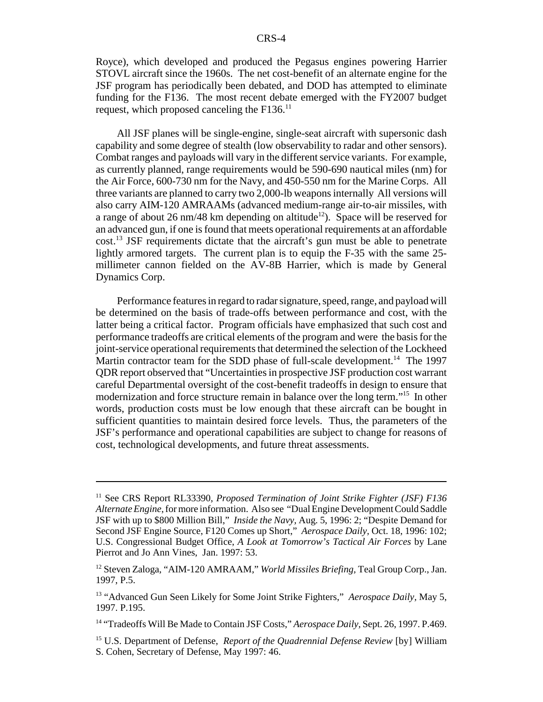Royce), which developed and produced the Pegasus engines powering Harrier STOVL aircraft since the 1960s. The net cost-benefit of an alternate engine for the JSF program has periodically been debated, and DOD has attempted to eliminate funding for the F136. The most recent debate emerged with the FY2007 budget request, which proposed canceling the  $F136$ <sup>11</sup>

All JSF planes will be single-engine, single-seat aircraft with supersonic dash capability and some degree of stealth (low observability to radar and other sensors). Combat ranges and payloads will vary in the different service variants. For example, as currently planned, range requirements would be 590-690 nautical miles (nm) for the Air Force, 600-730 nm for the Navy, and 450-550 nm for the Marine Corps. All three variants are planned to carry two 2,000-lb weapons internally All versions will also carry AIM-120 AMRAAMs (advanced medium-range air-to-air missiles, with a range of about 26 nm/48 km depending on altitude<sup>12</sup>). Space will be reserved for an advanced gun, if one is found that meets operational requirements at an affordable cost.13 JSF requirements dictate that the aircraft's gun must be able to penetrate lightly armored targets. The current plan is to equip the F-35 with the same 25 millimeter cannon fielded on the AV-8B Harrier, which is made by General Dynamics Corp.

Performance features in regard to radar signature, speed, range, and payload will be determined on the basis of trade-offs between performance and cost, with the latter being a critical factor. Program officials have emphasized that such cost and performance tradeoffs are critical elements of the program and were the basis for the joint-service operational requirements that determined the selection of the Lockheed Martin contractor team for the SDD phase of full-scale development.<sup>14</sup> The 1997 QDR report observed that "Uncertainties in prospective JSF production cost warrant careful Departmental oversight of the cost-benefit tradeoffs in design to ensure that modernization and force structure remain in balance over the long term."15 In other words, production costs must be low enough that these aircraft can be bought in sufficient quantities to maintain desired force levels. Thus, the parameters of the JSF's performance and operational capabilities are subject to change for reasons of cost, technological developments, and future threat assessments.

<sup>&</sup>lt;sup>11</sup> See CRS Report RL33390, *Proposed Termination of Joint Strike Fighter (JSF) F136 Alternate Engine*, for more information. Also see "Dual Engine Development Could Saddle JSF with up to \$800 Million Bill," *Inside the Navy,* Aug. 5, 1996: 2; "Despite Demand for Second JSF Engine Source, F120 Comes up Short," *Aerospace Daily,* Oct. 18, 1996: 102; U.S. Congressional Budget Office, *A Look at Tomorrow's Tactical Air Forces* by Lane Pierrot and Jo Ann Vines, Jan. 1997: 53.

<sup>12</sup> Steven Zaloga, "AIM-120 AMRAAM," *World Missiles Briefing,* Teal Group Corp., Jan. 1997, P.5.

<sup>13 &</sup>quot;Advanced Gun Seen Likely for Some Joint Strike Fighters," *Aerospace Daily,* May 5, 1997. P.195.

<sup>&</sup>lt;sup>14</sup> "Tradeoffs Will Be Made to Contain JSF Costs," *Aerospace Daily*, Sept. 26, 1997. P.469.

<sup>&</sup>lt;sup>15</sup> U.S. Department of Defense, *Report of the Quadrennial Defense Review* [by] William S. Cohen, Secretary of Defense, May 1997: 46.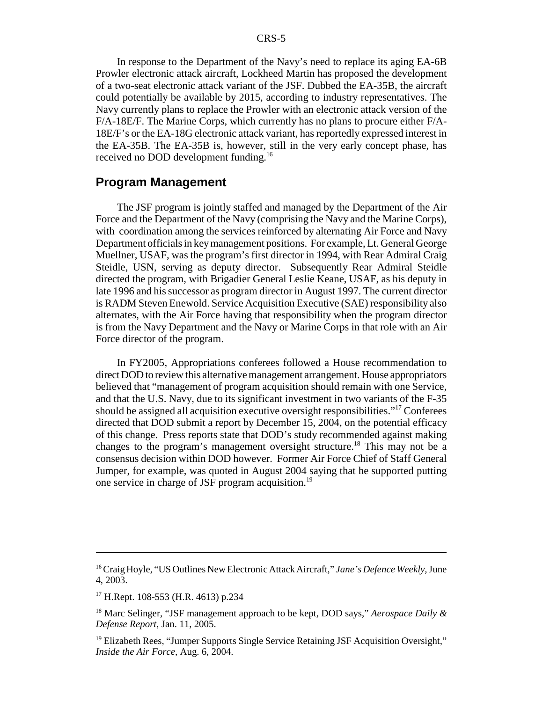In response to the Department of the Navy's need to replace its aging EA-6B Prowler electronic attack aircraft, Lockheed Martin has proposed the development of a two-seat electronic attack variant of the JSF. Dubbed the EA-35B, the aircraft could potentially be available by 2015, according to industry representatives. The Navy currently plans to replace the Prowler with an electronic attack version of the F/A-18E/F. The Marine Corps, which currently has no plans to procure either F/A-18E/F's or the EA-18G electronic attack variant, has reportedly expressed interest in the EA-35B. The EA-35B is, however, still in the very early concept phase, has received no DOD development funding.<sup>16</sup>

#### **Program Management**

The JSF program is jointly staffed and managed by the Department of the Air Force and the Department of the Navy (comprising the Navy and the Marine Corps), with coordination among the services reinforced by alternating Air Force and Navy Department officials in key management positions. For example, Lt. General George Muellner, USAF, was the program's first director in 1994, with Rear Admiral Craig Steidle, USN, serving as deputy director. Subsequently Rear Admiral Steidle directed the program, with Brigadier General Leslie Keane, USAF, as his deputy in late 1996 and his successor as program director in August 1997. The current director is RADM Steven Enewold. Service Acquisition Executive (SAE) responsibility also alternates, with the Air Force having that responsibility when the program director is from the Navy Department and the Navy or Marine Corps in that role with an Air Force director of the program.

In FY2005, Appropriations conferees followed a House recommendation to direct DOD to review this alternative management arrangement. House appropriators believed that "management of program acquisition should remain with one Service, and that the U.S. Navy, due to its significant investment in two variants of the F-35 should be assigned all acquisition executive oversight responsibilities."17 Conferees directed that DOD submit a report by December 15, 2004, on the potential efficacy of this change. Press reports state that DOD's study recommended against making changes to the program's management oversight structure.<sup>18</sup> This may not be a consensus decision within DOD however. Former Air Force Chief of Staff General Jumper, for example, was quoted in August 2004 saying that he supported putting one service in charge of JSF program acquisition.19

<sup>16</sup> Craig Hoyle, "US Outlines New Electronic Attack Aircraft," *Jane's Defence Weekly,* June 4, 2003.

<sup>&</sup>lt;sup>17</sup> H.Rept. 108-553 (H.R. 4613) p.234

<sup>18</sup> Marc Selinger, "JSF management approach to be kept, DOD says," *Aerospace Daily & Defense Report*, Jan. 11, 2005.

<sup>&</sup>lt;sup>19</sup> Elizabeth Rees, "Jumper Supports Single Service Retaining JSF Acquisition Oversight," *Inside the Air Force,* Aug. 6, 2004.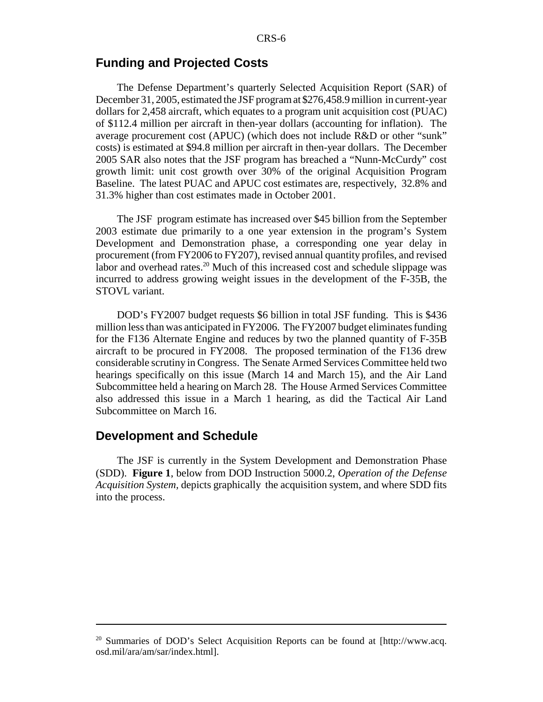#### **Funding and Projected Costs**

The Defense Department's quarterly Selected Acquisition Report (SAR) of December 31, 2005, estimated the JSF program at \$276,458.9 million in current-year dollars for 2,458 aircraft, which equates to a program unit acquisition cost (PUAC) of \$112.4 million per aircraft in then-year dollars (accounting for inflation). The average procurement cost (APUC) (which does not include R&D or other "sunk" costs) is estimated at \$94.8 million per aircraft in then-year dollars. The December 2005 SAR also notes that the JSF program has breached a "Nunn-McCurdy" cost growth limit: unit cost growth over 30% of the original Acquisition Program Baseline. The latest PUAC and APUC cost estimates are, respectively, 32.8% and 31.3% higher than cost estimates made in October 2001.

The JSF program estimate has increased over \$45 billion from the September 2003 estimate due primarily to a one year extension in the program's System Development and Demonstration phase, a corresponding one year delay in procurement (from FY2006 to FY207), revised annual quantity profiles, and revised labor and overhead rates.<sup>20</sup> Much of this increased cost and schedule slippage was incurred to address growing weight issues in the development of the F-35B, the STOVL variant.

DOD's FY2007 budget requests \$6 billion in total JSF funding. This is \$436 million less than was anticipated in FY2006. The FY2007 budget eliminates funding for the F136 Alternate Engine and reduces by two the planned quantity of F-35B aircraft to be procured in FY2008. The proposed termination of the F136 drew considerable scrutiny in Congress. The Senate Armed Services Committee held two hearings specifically on this issue (March 14 and March 15), and the Air Land Subcommittee held a hearing on March 28. The House Armed Services Committee also addressed this issue in a March 1 hearing, as did the Tactical Air Land Subcommittee on March 16.

#### **Development and Schedule**

The JSF is currently in the System Development and Demonstration Phase (SDD). **Figure 1**, below from DOD Instruction 5000.2, *Operation of the Defense Acquisition System,* depicts graphically the acquisition system, and where SDD fits into the process.

 $20$  Summaries of DOD's Select Acquisition Reports can be found at [http://www.acq. osd.mil/ara/am/sar/index.html].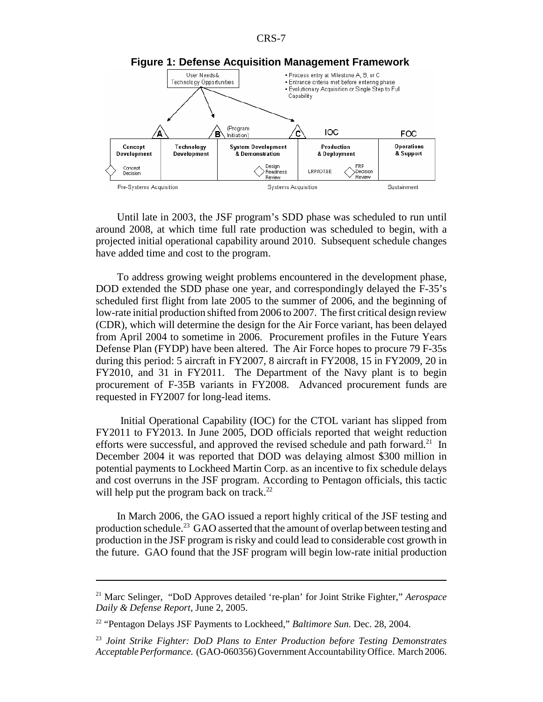

Until late in 2003, the JSF program's SDD phase was scheduled to run until around 2008, at which time full rate production was scheduled to begin, with a projected initial operational capability around 2010. Subsequent schedule changes have added time and cost to the program.

To address growing weight problems encountered in the development phase, DOD extended the SDD phase one year, and correspondingly delayed the F-35's scheduled first flight from late 2005 to the summer of 2006, and the beginning of low-rate initial production shifted from 2006 to 2007. The first critical design review (CDR), which will determine the design for the Air Force variant, has been delayed from April 2004 to sometime in 2006. Procurement profiles in the Future Years Defense Plan (FYDP) have been altered. The Air Force hopes to procure 79 F-35s during this period: 5 aircraft in FY2007, 8 aircraft in FY2008, 15 in FY2009, 20 in FY2010, and 31 in FY2011. The Department of the Navy plant is to begin procurement of F-35B variants in FY2008. Advanced procurement funds are requested in FY2007 for long-lead items.

 Initial Operational Capability (IOC) for the CTOL variant has slipped from FY2011 to FY2013. In June 2005, DOD officials reported that weight reduction efforts were successful, and approved the revised schedule and path forward.<sup>21</sup> In December 2004 it was reported that DOD was delaying almost \$300 million in potential payments to Lockheed Martin Corp. as an incentive to fix schedule delays and cost overruns in the JSF program. According to Pentagon officials, this tactic will help put the program back on track. $^{22}$ 

In March 2006, the GAO issued a report highly critical of the JSF testing and production schedule.<sup>23</sup> GAO asserted that the amount of overlap between testing and production in the JSF program is risky and could lead to considerable cost growth in the future. GAO found that the JSF program will begin low-rate initial production

<sup>21</sup> Marc Selinger, "DoD Approves detailed 're-plan' for Joint Strike Fighter," *Aerospace Daily & Defense Report*, June 2, 2005.

<sup>22 &</sup>quot;Pentagon Delays JSF Payments to Lockheed," *Baltimore Sun.* Dec. 28, 2004.

<sup>23</sup> *Joint Strike Fighter: DoD Plans to Enter Production before Testing Demonstrates Acceptable Performance.* (GAO-060356) Government Accountability Office. March 2006.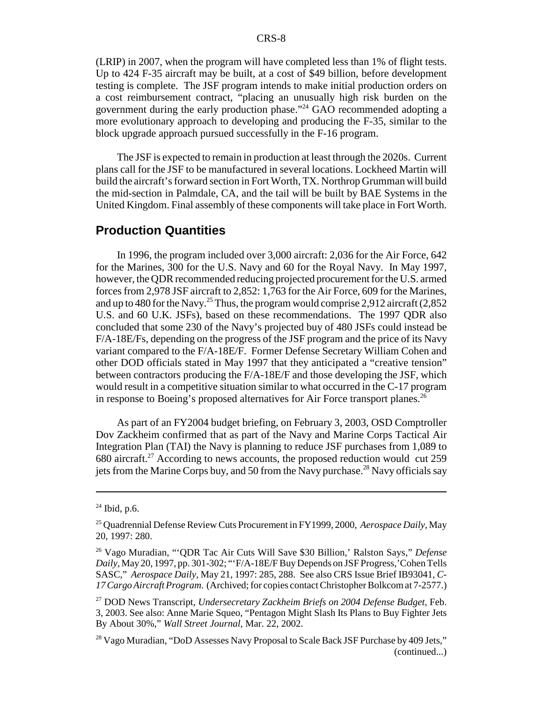(LRIP) in 2007, when the program will have completed less than 1% of flight tests. Up to 424 F-35 aircraft may be built, at a cost of \$49 billion, before development testing is complete. The JSF program intends to make initial production orders on a cost reimbursement contract, "placing an unusually high risk burden on the government during the early production phase."24 GAO recommended adopting a more evolutionary approach to developing and producing the F-35, similar to the block upgrade approach pursued successfully in the F-16 program.

The JSF is expected to remain in production at least through the 2020s. Current plans call for the JSF to be manufactured in several locations. Lockheed Martin will build the aircraft's forward section in Fort Worth, TX. Northrop Grumman will build the mid-section in Palmdale, CA, and the tail will be built by BAE Systems in the United Kingdom. Final assembly of these components will take place in Fort Worth.

#### **Production Quantities**

In 1996, the program included over 3,000 aircraft: 2,036 for the Air Force, 642 for the Marines, 300 for the U.S. Navy and 60 for the Royal Navy. In May 1997, however, the QDR recommended reducing projected procurement for the U.S. armed forces from 2,978 JSF aircraft to 2,852: 1,763 for the Air Force, 609 for the Marines, and up to 480 for the Navy.<sup>25</sup> Thus, the program would comprise 2,912 aircraft  $(2,852)$ U.S. and 60 U.K. JSFs), based on these recommendations. The 1997 QDR also concluded that some 230 of the Navy's projected buy of 480 JSFs could instead be F/A-18E/Fs, depending on the progress of the JSF program and the price of its Navy variant compared to the F/A-18E/F. Former Defense Secretary William Cohen and other DOD officials stated in May 1997 that they anticipated a "creative tension" between contractors producing the F/A-18E/F and those developing the JSF, which would result in a competitive situation similar to what occurred in the C-17 program in response to Boeing's proposed alternatives for Air Force transport planes.<sup>26</sup>

As part of an FY2004 budget briefing, on February 3, 2003, OSD Comptroller Dov Zackheim confirmed that as part of the Navy and Marine Corps Tactical Air Integration Plan (TAI) the Navy is planning to reduce JSF purchases from 1,089 to  $680$  aircraft.<sup>27</sup> According to news accounts, the proposed reduction would cut 259 jets from the Marine Corps buy, and 50 from the Navy purchase.28 Navy officials say

 $24$  Ibid, p.6.

<sup>25</sup> Quadrennial Defense Review Cuts Procurement in FY1999, 2000, *Aerospace Daily,* May 20, 1997: 280.

<sup>26</sup> Vago Muradian, "'QDR Tac Air Cuts Will Save \$30 Billion,' Ralston Says," *Defense Daily,* May 20, 1997, pp. 301-302; "'F/A-18E/F Buy Depends on JSF Progress,'Cohen Tells SASC," *Aerospace Daily,* May 21, 1997: 285, 288. See also CRS Issue Brief IB93041, *C-17 Cargo Aircraft Program*. (Archived; for copies contact Christopher Bolkcom at 7-2577.)

<sup>27</sup> DOD News Transcript, *Undersecretary Zackheim Briefs on 2004 Defense Budget,* Feb. 3, 2003. See also: Anne Marie Squeo, "Pentagon Might Slash Its Plans to Buy Fighter Jets By About 30%," *Wall Street Journal,* Mar. 22, 2002.

<sup>&</sup>lt;sup>28</sup> Vago Muradian, "DoD Assesses Navy Proposal to Scale Back JSF Purchase by 409 Jets," (continued...)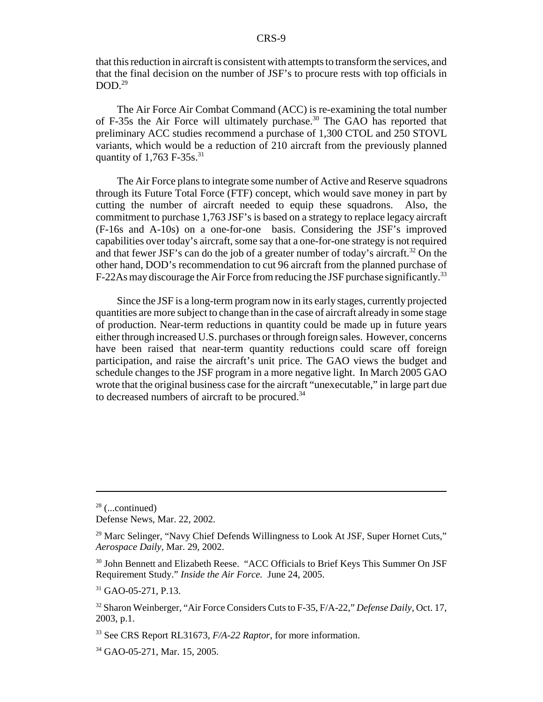that this reduction in aircraft is consistent with attempts to transform the services, and that the final decision on the number of JSF's to procure rests with top officials in  $DOD.<sup>29</sup>$ 

The Air Force Air Combat Command (ACC) is re-examining the total number of F-35s the Air Force will ultimately purchase.<sup>30</sup> The GAO has reported that preliminary ACC studies recommend a purchase of 1,300 CTOL and 250 STOVL variants, which would be a reduction of 210 aircraft from the previously planned quantity of  $1,763$  F-35s.<sup>31</sup>

 The Air Force plans to integrate some number of Active and Reserve squadrons through its Future Total Force (FTF) concept, which would save money in part by cutting the number of aircraft needed to equip these squadrons. Also, the commitment to purchase 1,763 JSF's is based on a strategy to replace legacy aircraft (F-16s and A-10s) on a one-for-one basis. Considering the JSF's improved capabilities over today's aircraft, some say that a one-for-one strategy is not required and that fewer JSF's can do the job of a greater number of today's aircraft.<sup>32</sup> On the other hand, DOD's recommendation to cut 96 aircraft from the planned purchase of F-22As may discourage the Air Force from reducing the JSF purchase significantly.<sup>33</sup>

Since the JSF is a long-term program now in its early stages, currently projected quantities are more subject to change than in the case of aircraft already in some stage of production. Near-term reductions in quantity could be made up in future years either through increased U.S. purchases or through foreign sales. However, concerns have been raised that near-term quantity reductions could scare off foreign participation, and raise the aircraft's unit price. The GAO views the budget and schedule changes to the JSF program in a more negative light. In March 2005 GAO wrote that the original business case for the aircraft "unexecutable," in large part due to decreased numbers of aircraft to be procured.<sup>34</sup>

 $28$  (...continued)

Defense News, Mar. 22, 2002.

 $29$  Marc Selinger, "Navy Chief Defends Willingness to Look At JSF, Super Hornet Cuts," *Aerospace Daily,* Mar. 29, 2002.

<sup>&</sup>lt;sup>30</sup> John Bennett and Elizabeth Reese. "ACC Officials to Brief Keys This Summer On JSF Requirement Study." *Inside the Air Force.* June 24, 2005.

<sup>&</sup>lt;sup>31</sup> GAO-05-271, P.13.

<sup>32</sup> Sharon Weinberger, "Air Force Considers Cuts to F-35, F/A-22," *Defense Daily,* Oct. 17, 2003, p.1.

<sup>33</sup> See CRS Report RL31673, *F/A-22 Raptor*, for more information.

<sup>34</sup> GAO-05-271, Mar. 15, 2005.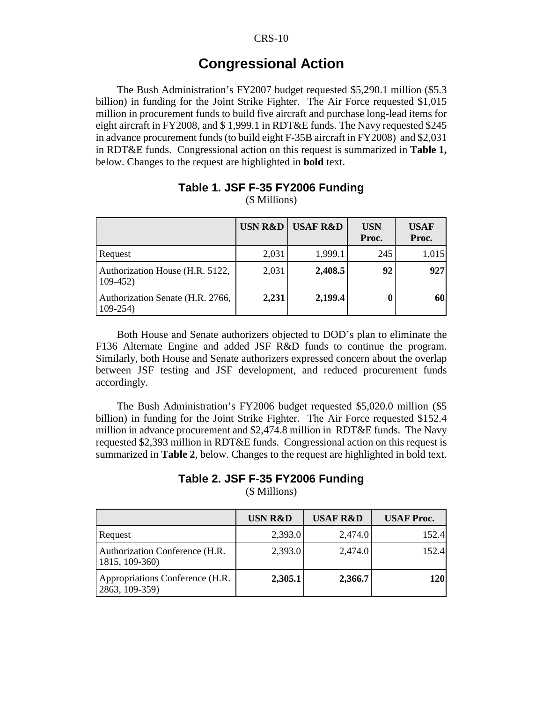### **Congressional Action**

The Bush Administration's FY2007 budget requested \$5,290.1 million (\$5.3 billion) in funding for the Joint Strike Fighter. The Air Force requested \$1,015 million in procurement funds to build five aircraft and purchase long-lead items for eight aircraft in FY2008, and \$ 1,999.1 in RDT&E funds. The Navy requested \$245 in advance procurement funds (to build eight F-35B aircraft in FY2008) and \$2,031 in RDT&E funds. Congressional action on this request is summarized in **Table 1,** below. Changes to the request are highlighted in **bold** text.

|                                                 | <b>USN R&amp;D</b> | <b>USAF R&amp;D</b> | <b>USN</b><br>Proc. | <b>USAF</b><br>Proc. |
|-------------------------------------------------|--------------------|---------------------|---------------------|----------------------|
| Request                                         | 2,031              | 1,999.1             | 245                 | 1,015                |
| Authorization House (H.R. 5122,<br>$109-452$    | 2,031              | 2,408.5             | 92                  | 927                  |
| Authorization Senate (H.R. 2766,<br>$109 - 254$ | 2,231              | 2,199.4             |                     | 60                   |

#### **Table 1. JSF F-35 FY2006 Funding** (\$ Millions)

Both House and Senate authorizers objected to DOD's plan to eliminate the F136 Alternate Engine and added JSF R&D funds to continue the program. Similarly, both House and Senate authorizers expressed concern about the overlap between JSF testing and JSF development, and reduced procurement funds accordingly.

The Bush Administration's FY2006 budget requested \$5,020.0 million (\$5 billion) in funding for the Joint Strike Fighter. The Air Force requested \$152.4 million in advance procurement and \$2,474.8 million in RDT&E funds. The Navy requested \$2,393 million in RDT&E funds. Congressional action on this request is summarized in **Table 2**, below. Changes to the request are highlighted in bold text.

#### **Table 2. JSF F-35 FY2006 Funding**

(\$ Millions)

|                                                   | <b>USN R&amp;D</b> | <b>USAF R&amp;D</b> | <b>USAF</b> Proc. |
|---------------------------------------------------|--------------------|---------------------|-------------------|
| Request                                           | 2,393.0            | 2,474.0             | 152.4             |
| Authorization Conference (H.R.<br>1815, 109-360)  | 2,393.0            | 2,474.0             | 152.4             |
| Appropriations Conference (H.R.<br>2863, 109-359) | 2,305.1            | 2,366.7             | <b>120</b>        |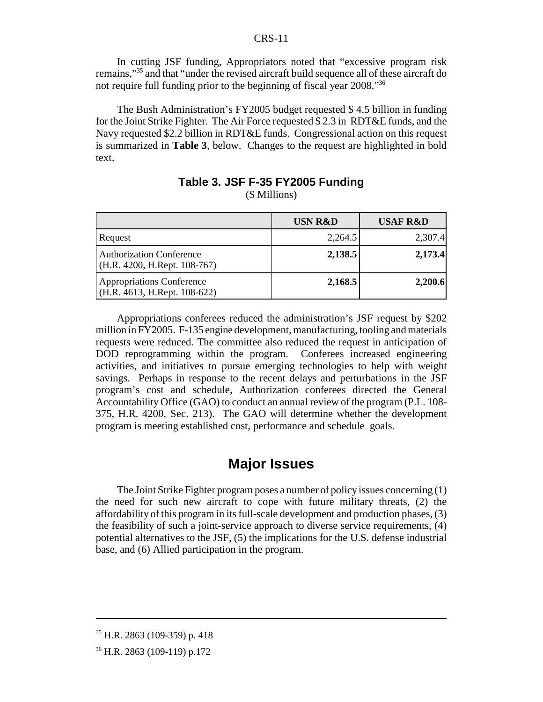In cutting JSF funding, Appropriators noted that "excessive program risk remains,"35 and that "under the revised aircraft build sequence all of these aircraft do not require full funding prior to the beginning of fiscal year 2008."36

The Bush Administration's FY2005 budget requested \$ 4.5 billion in funding for the Joint Strike Fighter. The Air Force requested \$ 2.3 in RDT&E funds, and the Navy requested \$2.2 billion in RDT&E funds. Congressional action on this request is summarized in **Table 3**, below. Changes to the request are highlighted in bold text.

|                                                                   | <b>USN R&amp;D</b> | <b>USAF R&amp;D</b> |
|-------------------------------------------------------------------|--------------------|---------------------|
| Request                                                           | 2,264.5            | 2,307.4             |
| <b>Authorization Conference</b><br>$(H.R. 4200, H.Rept. 108-767)$ | 2,138.5            | 2,173.4             |
| <b>Appropriations Conference</b><br>(H.R. 4613, H.Rept. 108-622)  | 2,168.5            | 2,200.6             |

#### **Table 3. JSF F-35 FY2005 Funding** (\$ Millions)

Appropriations conferees reduced the administration's JSF request by \$202 million in FY2005. F-135 engine development, manufacturing, tooling and materials requests were reduced. The committee also reduced the request in anticipation of DOD reprogramming within the program. Conferees increased engineering activities, and initiatives to pursue emerging technologies to help with weight savings. Perhaps in response to the recent delays and perturbations in the JSF program's cost and schedule, Authorization conferees directed the General Accountability Office (GAO) to conduct an annual review of the program (P.L. 108- 375, H.R. 4200, Sec. 213). The GAO will determine whether the development program is meeting established cost, performance and schedule goals.

### **Major Issues**

The Joint Strike Fighter program poses a number of policy issues concerning (1) the need for such new aircraft to cope with future military threats, (2) the affordability of this program in its full-scale development and production phases, (3) the feasibility of such a joint-service approach to diverse service requirements, (4) potential alternatives to the JSF, (5) the implications for the U.S. defense industrial base, and (6) Allied participation in the program.

 $35$  H.R. 2863 (109-359) p. 418

<sup>36</sup> H.R. 2863 (109-119) p.172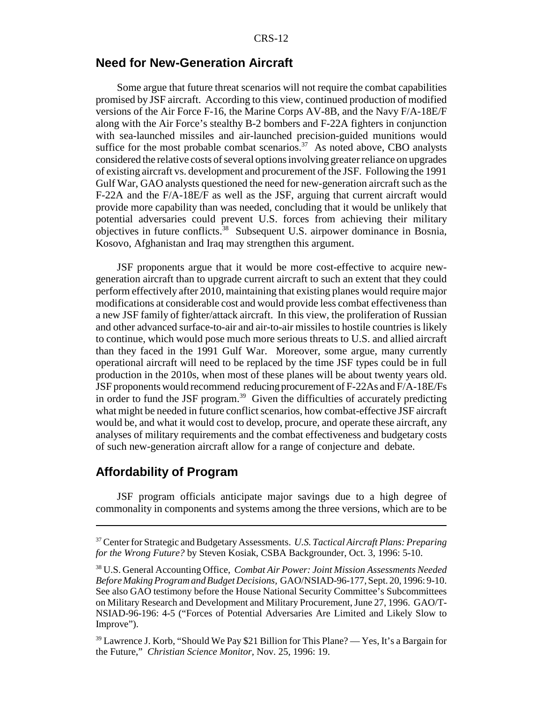#### **Need for New-Generation Aircraft**

Some argue that future threat scenarios will not require the combat capabilities promised by JSF aircraft. According to this view, continued production of modified versions of the Air Force F-16, the Marine Corps AV-8B, and the Navy F/A-18E/F along with the Air Force's stealthy B-2 bombers and F-22A fighters in conjunction with sea-launched missiles and air-launched precision-guided munitions would suffice for the most probable combat scenarios.<sup>37</sup> As noted above, CBO analysts considered the relative costs of several options involving greater reliance on upgrades of existing aircraft vs. development and procurement of the JSF. Following the 1991 Gulf War, GAO analysts questioned the need for new-generation aircraft such as the F-22A and the F/A-18E/F as well as the JSF, arguing that current aircraft would provide more capability than was needed, concluding that it would be unlikely that potential adversaries could prevent U.S. forces from achieving their military objectives in future conflicts.38 Subsequent U.S. airpower dominance in Bosnia, Kosovo, Afghanistan and Iraq may strengthen this argument.

JSF proponents argue that it would be more cost-effective to acquire newgeneration aircraft than to upgrade current aircraft to such an extent that they could perform effectively after 2010, maintaining that existing planes would require major modifications at considerable cost and would provide less combat effectiveness than a new JSF family of fighter/attack aircraft. In this view, the proliferation of Russian and other advanced surface-to-air and air-to-air missiles to hostile countries is likely to continue, which would pose much more serious threats to U.S. and allied aircraft than they faced in the 1991 Gulf War. Moreover, some argue, many currently operational aircraft will need to be replaced by the time JSF types could be in full production in the 2010s, when most of these planes will be about twenty years old. JSF proponents would recommend reducing procurement of F-22As and F/A-18E/Fs in order to fund the JSF program.<sup>39</sup> Given the difficulties of accurately predicting what might be needed in future conflict scenarios, how combat-effective JSF aircraft would be, and what it would cost to develop, procure, and operate these aircraft, any analyses of military requirements and the combat effectiveness and budgetary costs of such new-generation aircraft allow for a range of conjecture and debate.

#### **Affordability of Program**

JSF program officials anticipate major savings due to a high degree of commonality in components and systems among the three versions, which are to be

<sup>37</sup> Center for Strategic and Budgetary Assessments. *U.S. Tactical Aircraft Plans: Preparing for the Wrong Future?* by Steven Kosiak, CSBA Backgrounder, Oct. 3, 1996: 5-10.

<sup>38</sup> U.S. General Accounting Office, *Combat Air Power: Joint Mission Assessments Needed Before Making Program and Budget Decisions,* GAO/NSIAD-96-177, Sept. 20, 1996: 9-10. See also GAO testimony before the House National Security Committee's Subcommittees on Military Research and Development and Military Procurement, June 27, 1996. GAO/T-NSIAD-96-196: 4-5 ("Forces of Potential Adversaries Are Limited and Likely Slow to Improve").

<sup>&</sup>lt;sup>39</sup> Lawrence J. Korb, "Should We Pay \$21 Billion for This Plane? — Yes, It's a Bargain for the Future," *Christian Science Monitor,* Nov. 25, 1996: 19.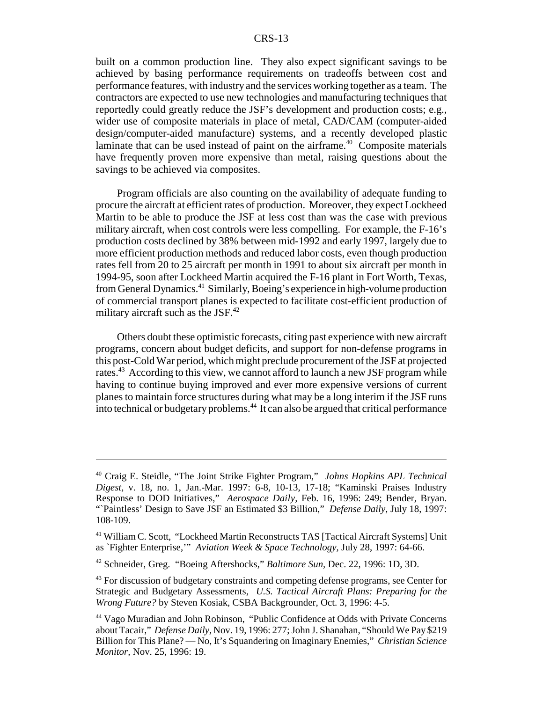built on a common production line. They also expect significant savings to be achieved by basing performance requirements on tradeoffs between cost and performance features, with industry and the services working together as a team. The contractors are expected to use new technologies and manufacturing techniques that reportedly could greatly reduce the JSF's development and production costs; e.g., wider use of composite materials in place of metal, CAD/CAM (computer-aided design/computer-aided manufacture) systems, and a recently developed plastic laminate that can be used instead of paint on the airframe. $40$  Composite materials have frequently proven more expensive than metal, raising questions about the savings to be achieved via composites.

Program officials are also counting on the availability of adequate funding to procure the aircraft at efficient rates of production. Moreover, they expect Lockheed Martin to be able to produce the JSF at less cost than was the case with previous military aircraft, when cost controls were less compelling. For example, the F-16's production costs declined by 38% between mid-1992 and early 1997, largely due to more efficient production methods and reduced labor costs, even though production rates fell from 20 to 25 aircraft per month in 1991 to about six aircraft per month in 1994-95, soon after Lockheed Martin acquired the F-16 plant in Fort Worth, Texas, from General Dynamics.41 Similarly, Boeing's experience in high-volume production of commercial transport planes is expected to facilitate cost-efficient production of military aircraft such as the JSF.<sup>42</sup>

Others doubt these optimistic forecasts, citing past experience with new aircraft programs, concern about budget deficits, and support for non-defense programs in this post-Cold War period, which might preclude procurement of the JSF at projected rates.<sup>43</sup> According to this view, we cannot afford to launch a new JSF program while having to continue buying improved and ever more expensive versions of current planes to maintain force structures during what may be a long interim if the JSF runs into technical or budgetary problems.<sup>44</sup> It can also be argued that critical performance

<sup>40</sup> Craig E. Steidle, "The Joint Strike Fighter Program," *Johns Hopkins APL Technical Digest,* v. 18, no. 1, Jan.-Mar. 1997: 6-8, 10-13, 17-18; "Kaminski Praises Industry Response to DOD Initiatives," *Aerospace Daily,* Feb. 16, 1996: 249; Bender, Bryan. "Paintless' Design to Save JSF an Estimated \$3 Billion," *Defense Daily*, July 18, 1997: 108-109.

<sup>41</sup> William C. Scott, "Lockheed Martin Reconstructs TAS [Tactical Aircraft Systems] Unit as `Fighter Enterprise,'" *Aviation Week & Space Technology,* July 28, 1997: 64-66.

<sup>42</sup> Schneider, Greg. "Boeing Aftershocks," *Baltimore Sun,* Dec. 22, 1996: 1D, 3D.

<sup>&</sup>lt;sup>43</sup> For discussion of budgetary constraints and competing defense programs, see Center for Strategic and Budgetary Assessments, *U.S. Tactical Aircraft Plans: Preparing for the Wrong Future?* by Steven Kosiak, CSBA Backgrounder, Oct. 3, 1996: 4-5.

<sup>44</sup> Vago Muradian and John Robinson, "Public Confidence at Odds with Private Concerns about Tacair," *Defense Daily,* Nov. 19, 1996: 277; John J. Shanahan, "Should We Pay \$219 Billion for This Plane? — No, It's Squandering on Imaginary Enemies," *Christian Science Monitor,* Nov. 25, 1996: 19.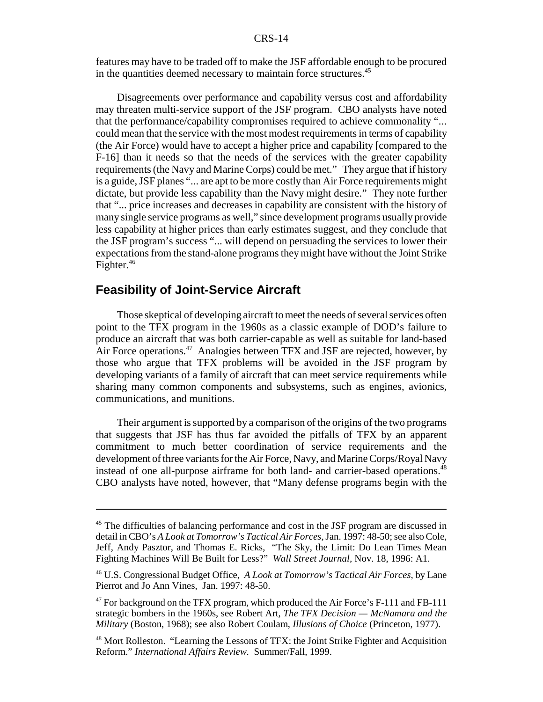features may have to be traded off to make the JSF affordable enough to be procured in the quantities deemed necessary to maintain force structures.<sup>45</sup>

Disagreements over performance and capability versus cost and affordability may threaten multi-service support of the JSF program. CBO analysts have noted that the performance/capability compromises required to achieve commonality "... could mean that the service with the most modest requirements in terms of capability (the Air Force) would have to accept a higher price and capability [compared to the F-16] than it needs so that the needs of the services with the greater capability requirements (the Navy and Marine Corps) could be met." They argue that if history is a guide, JSF planes "... are apt to be more costly than Air Force requirements might dictate, but provide less capability than the Navy might desire." They note further that "... price increases and decreases in capability are consistent with the history of many single service programs as well," since development programs usually provide less capability at higher prices than early estimates suggest, and they conclude that the JSF program's success "... will depend on persuading the services to lower their expectations from the stand-alone programs they might have without the Joint Strike Fighter.<sup>46</sup>

#### **Feasibility of Joint-Service Aircraft**

Those skeptical of developing aircraft to meet the needs of several services often point to the TFX program in the 1960s as a classic example of DOD's failure to produce an aircraft that was both carrier-capable as well as suitable for land-based Air Force operations.<sup>47</sup> Analogies between TFX and JSF are rejected, however, by those who argue that TFX problems will be avoided in the JSF program by developing variants of a family of aircraft that can meet service requirements while sharing many common components and subsystems, such as engines, avionics, communications, and munitions.

Their argument is supported by a comparison of the origins of the two programs that suggests that JSF has thus far avoided the pitfalls of TFX by an apparent commitment to much better coordination of service requirements and the development of three variants for the Air Force, Navy, and Marine Corps/Royal Navy instead of one all-purpose airframe for both land- and carrier-based operations.<sup>48</sup> CBO analysts have noted, however, that "Many defense programs begin with the

<sup>&</sup>lt;sup>45</sup> The difficulties of balancing performance and cost in the JSF program are discussed in detail in CBO's *A Look at Tomorrow's Tactical Air Forces,* Jan. 1997: 48-50; see also Cole, Jeff, Andy Pasztor, and Thomas E. Ricks, "The Sky, the Limit: Do Lean Times Mean Fighting Machines Will Be Built for Less?" *Wall Street Journal,* Nov. 18, 1996: A1.

<sup>46</sup> U.S. Congressional Budget Office, *A Look at Tomorrow's Tactical Air Forces,* by Lane Pierrot and Jo Ann Vines, Jan. 1997: 48-50.

<sup>&</sup>lt;sup>47</sup> For background on the TFX program, which produced the Air Force's F-111 and FB-111 strategic bombers in the 1960s, see Robert Art, *The TFX Decision — McNamara and the Military* (Boston, 1968); see also Robert Coulam, *Illusions of Choice* (Princeton, 1977).

<sup>&</sup>lt;sup>48</sup> Mort Rolleston. "Learning the Lessons of TFX: the Joint Strike Fighter and Acquisition Reform." *International Affairs Review.* Summer/Fall, 1999.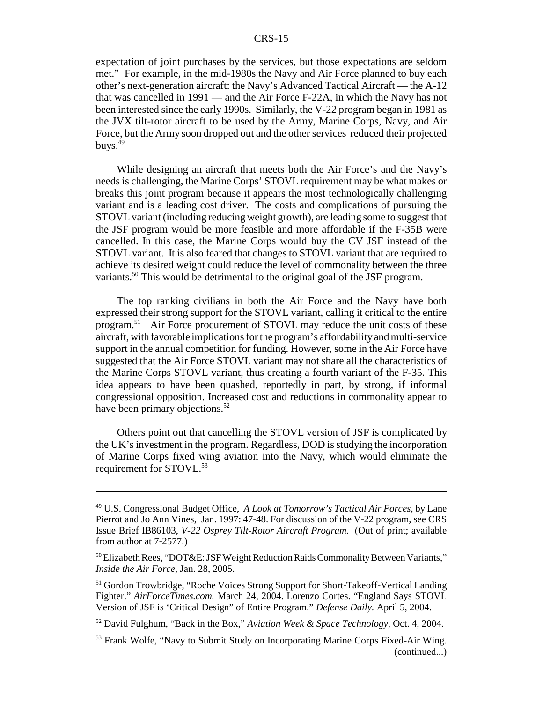expectation of joint purchases by the services, but those expectations are seldom met." For example, in the mid-1980s the Navy and Air Force planned to buy each other's next-generation aircraft: the Navy's Advanced Tactical Aircraft — the A-12 that was cancelled in 1991 — and the Air Force F-22A, in which the Navy has not been interested since the early 1990s. Similarly, the V-22 program began in 1981 as the JVX tilt-rotor aircraft to be used by the Army, Marine Corps, Navy, and Air Force, but the Army soon dropped out and the other services reduced their projected buys. $49$ 

While designing an aircraft that meets both the Air Force's and the Navy's needs is challenging, the Marine Corps' STOVL requirement may be what makes or breaks this joint program because it appears the most technologically challenging variant and is a leading cost driver. The costs and complications of pursuing the STOVL variant (including reducing weight growth), are leading some to suggest that the JSF program would be more feasible and more affordable if the F-35B were cancelled. In this case, the Marine Corps would buy the CV JSF instead of the STOVL variant. It is also feared that changes to STOVL variant that are required to achieve its desired weight could reduce the level of commonality between the three variants.<sup>50</sup> This would be detrimental to the original goal of the JSF program.

The top ranking civilians in both the Air Force and the Navy have both expressed their strong support for the STOVL variant, calling it critical to the entire program.<sup>51</sup> Air Force procurement of STOVL may reduce the unit costs of these aircraft, with favorable implications for the program's affordability and multi-service support in the annual competition for funding. However, some in the Air Force have suggested that the Air Force STOVL variant may not share all the characteristics of the Marine Corps STOVL variant, thus creating a fourth variant of the F-35. This idea appears to have been quashed, reportedly in part, by strong, if informal congressional opposition. Increased cost and reductions in commonality appear to have been primary objections.<sup>52</sup>

Others point out that cancelling the STOVL version of JSF is complicated by the UK's investment in the program. Regardless, DOD is studying the incorporation of Marine Corps fixed wing aviation into the Navy, which would eliminate the requirement for STOVL.<sup>53</sup>

<sup>49</sup> U.S. Congressional Budget Office, *A Look at Tomorrow's Tactical Air Forces,* by Lane Pierrot and Jo Ann Vines, Jan. 1997: 47-48. For discussion of the V-22 program, see CRS Issue Brief IB86103, *V-22 Osprey Tilt-Rotor Aircraft Program.* (Out of print; available from author at 7-2577.)

<sup>&</sup>lt;sup>50</sup> Elizabeth Rees, "DOT&E: JSF Weight Reduction Raids Commonality Between Variants," *Inside the Air Force,* Jan. 28, 2005.

<sup>&</sup>lt;sup>51</sup> Gordon Trowbridge, "Roche Voices Strong Support for Short-Takeoff-Vertical Landing Fighter." *AirForceTimes.com.* March 24, 2004. Lorenzo Cortes. "England Says STOVL Version of JSF is 'Critical Design" of Entire Program." *Defense Daily.* April 5, 2004.

<sup>52</sup> David Fulghum, "Back in the Box," *Aviation Week & Space Technology,* Oct. 4, 2004.

<sup>53</sup> Frank Wolfe, "Navy to Submit Study on Incorporating Marine Corps Fixed-Air Wing. (continued...)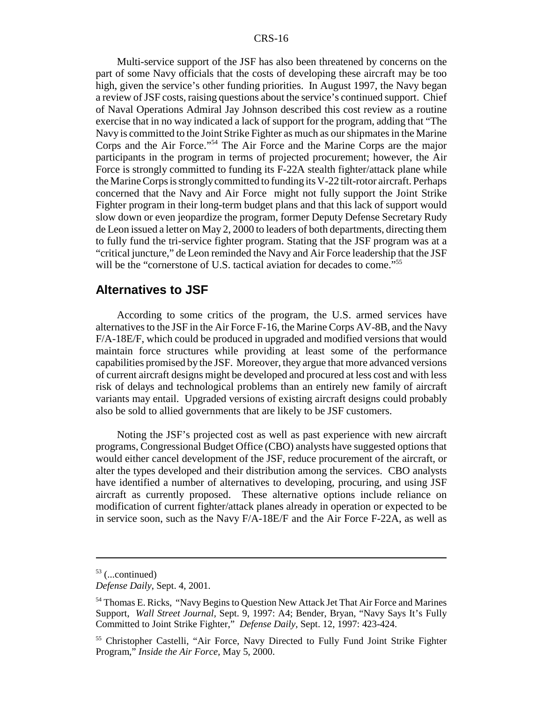Multi-service support of the JSF has also been threatened by concerns on the part of some Navy officials that the costs of developing these aircraft may be too high, given the service's other funding priorities. In August 1997, the Navy began a review of JSF costs, raising questions about the service's continued support. Chief of Naval Operations Admiral Jay Johnson described this cost review as a routine exercise that in no way indicated a lack of support for the program, adding that "The Navy is committed to the Joint Strike Fighter as much as our shipmates in the Marine Corps and the Air Force."54 The Air Force and the Marine Corps are the major participants in the program in terms of projected procurement; however, the Air Force is strongly committed to funding its F-22A stealth fighter/attack plane while the Marine Corps is strongly committed to funding its V-22 tilt-rotor aircraft. Perhaps concerned that the Navy and Air Force might not fully support the Joint Strike Fighter program in their long-term budget plans and that this lack of support would slow down or even jeopardize the program, former Deputy Defense Secretary Rudy de Leon issued a letter on May 2, 2000 to leaders of both departments, directing them to fully fund the tri-service fighter program. Stating that the JSF program was at a "critical juncture," de Leon reminded the Navy and Air Force leadership that the JSF will be the "cornerstone of U.S. tactical aviation for decades to come."<sup>55</sup>

#### **Alternatives to JSF**

According to some critics of the program, the U.S. armed services have alternatives to the JSF in the Air Force F-16, the Marine Corps AV-8B, and the Navy F/A-18E/F, which could be produced in upgraded and modified versions that would maintain force structures while providing at least some of the performance capabilities promised by the JSF. Moreover, they argue that more advanced versions of current aircraft designs might be developed and procured at less cost and with less risk of delays and technological problems than an entirely new family of aircraft variants may entail. Upgraded versions of existing aircraft designs could probably also be sold to allied governments that are likely to be JSF customers.

Noting the JSF's projected cost as well as past experience with new aircraft programs, Congressional Budget Office (CBO) analysts have suggested options that would either cancel development of the JSF, reduce procurement of the aircraft, or alter the types developed and their distribution among the services. CBO analysts have identified a number of alternatives to developing, procuring, and using JSF aircraft as currently proposed. These alternative options include reliance on modification of current fighter/attack planes already in operation or expected to be in service soon, such as the Navy F/A-18E/F and the Air Force F-22A, as well as

 $53$  (...continued)

*Defense Daily*, Sept. 4, 2001.

<sup>54</sup> Thomas E. Ricks, "Navy Begins to Question New Attack Jet That Air Force and Marines Support, *Wall Street Journal,* Sept. 9, 1997: A4; Bender, Bryan, "Navy Says It's Fully Committed to Joint Strike Fighter," *Defense Daily,* Sept. 12, 1997: 423-424.

<sup>55</sup> Christopher Castelli, "Air Force, Navy Directed to Fully Fund Joint Strike Fighter Program," *Inside the Air Force,* May 5, 2000.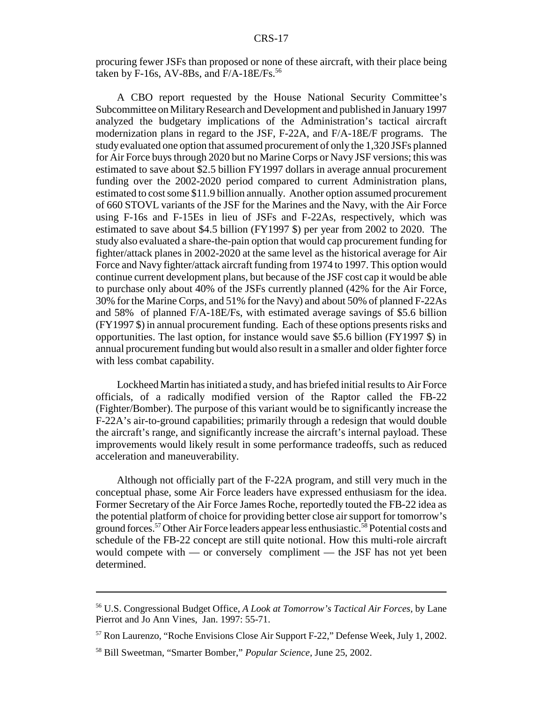procuring fewer JSFs than proposed or none of these aircraft, with their place being taken by F-16s, AV-8Bs, and  $F/A-18E/Fs$ .<sup>56</sup>

A CBO report requested by the House National Security Committee's Subcommittee on Military Research and Development and published in January 1997 analyzed the budgetary implications of the Administration's tactical aircraft modernization plans in regard to the JSF, F-22A, and F/A-18E/F programs. The study evaluated one option that assumed procurement of only the 1,320 JSFs planned for Air Force buys through 2020 but no Marine Corps or Navy JSF versions; this was estimated to save about \$2.5 billion FY1997 dollars in average annual procurement funding over the 2002-2020 period compared to current Administration plans, estimated to cost some \$11.9 billion annually. Another option assumed procurement of 660 STOVL variants of the JSF for the Marines and the Navy, with the Air Force using F-16s and F-15Es in lieu of JSFs and F-22As, respectively, which was estimated to save about \$4.5 billion (FY1997 \$) per year from 2002 to 2020. The study also evaluated a share-the-pain option that would cap procurement funding for fighter/attack planes in 2002-2020 at the same level as the historical average for Air Force and Navy fighter/attack aircraft funding from 1974 to 1997. This option would continue current development plans, but because of the JSF cost cap it would be able to purchase only about 40% of the JSFs currently planned (42% for the Air Force, 30% for the Marine Corps, and 51% for the Navy) and about 50% of planned F-22As and 58% of planned F/A-18E/Fs, with estimated average savings of \$5.6 billion (FY1997 \$) in annual procurement funding. Each of these options presents risks and opportunities. The last option, for instance would save \$5.6 billion (FY1997 \$) in annual procurement funding but would also result in a smaller and older fighter force with less combat capability.

Lockheed Martin has initiated a study, and has briefed initial results to Air Force officials, of a radically modified version of the Raptor called the FB-22 (Fighter/Bomber). The purpose of this variant would be to significantly increase the F-22A's air-to-ground capabilities; primarily through a redesign that would double the aircraft's range, and significantly increase the aircraft's internal payload. These improvements would likely result in some performance tradeoffs, such as reduced acceleration and maneuverability.

Although not officially part of the F-22A program, and still very much in the conceptual phase, some Air Force leaders have expressed enthusiasm for the idea. Former Secretary of the Air Force James Roche, reportedly touted the FB-22 idea as the potential platform of choice for providing better close air support for tomorrow's ground forces.<sup>57</sup> Other Air Force leaders appear less enthusiastic.<sup>58</sup> Potential costs and schedule of the FB-22 concept are still quite notional. How this multi-role aircraft would compete with — or conversely compliment — the JSF has not yet been determined.

<sup>56</sup> U.S. Congressional Budget Office, *A Look at Tomorrow's Tactical Air Forces,* by Lane Pierrot and Jo Ann Vines, Jan. 1997: 55-71.

<sup>57</sup> Ron Laurenzo, "Roche Envisions Close Air Support F-22," Defense Week, July 1, 2002.

<sup>58</sup> Bill Sweetman, "Smarter Bomber," *Popular Science,* June 25, 2002.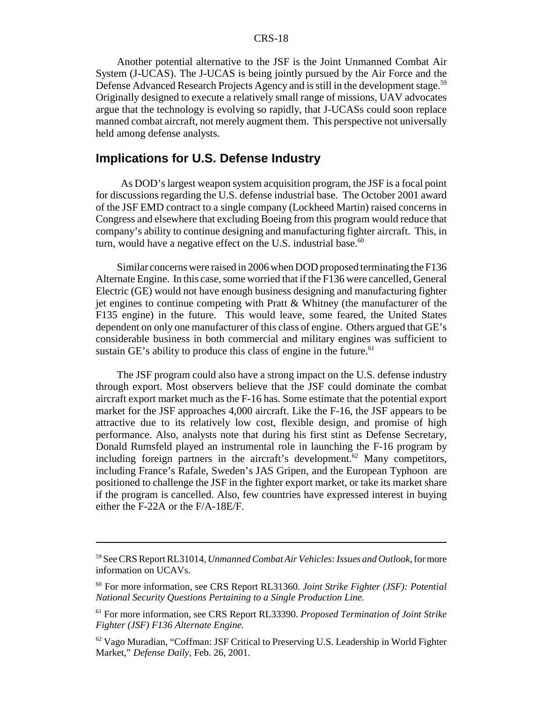Another potential alternative to the JSF is the Joint Unmanned Combat Air System (J-UCAS). The J-UCAS is being jointly pursued by the Air Force and the Defense Advanced Research Projects Agency and is still in the development stage.<sup>59</sup> Originally designed to execute a relatively small range of missions, UAV advocates argue that the technology is evolving so rapidly, that J-UCASs could soon replace manned combat aircraft, not merely augment them. This perspective not universally held among defense analysts.

#### **Implications for U.S. Defense Industry**

 As DOD's largest weapon system acquisition program, the JSF is a focal point for discussions regarding the U.S. defense industrial base. The October 2001 award of the JSF EMD contract to a single company (Lockheed Martin) raised concerns in Congress and elsewhere that excluding Boeing from this program would reduce that company's ability to continue designing and manufacturing fighter aircraft. This, in turn, would have a negative effect on the U.S. industrial base. $60$ 

Similar concerns were raised in 2006 when DOD proposed terminating the F136 Alternate Engine. In this case, some worried that if the F136 were cancelled, General Electric (GE) would not have enough business designing and manufacturing fighter jet engines to continue competing with Pratt & Whitney (the manufacturer of the F135 engine) in the future. This would leave, some feared, the United States dependent on only one manufacturer of this class of engine. Others argued that GE's considerable business in both commercial and military engines was sufficient to sustain GE's ability to produce this class of engine in the future.<sup>61</sup>

The JSF program could also have a strong impact on the U.S. defense industry through export. Most observers believe that the JSF could dominate the combat aircraft export market much as the F-16 has. Some estimate that the potential export market for the JSF approaches 4,000 aircraft. Like the F-16, the JSF appears to be attractive due to its relatively low cost, flexible design, and promise of high performance. Also, analysts note that during his first stint as Defense Secretary, Donald Rumsfeld played an instrumental role in launching the F-16 program by including foreign partners in the aircraft's development.<sup>62</sup> Many competitors, including France's Rafale, Sweden's JAS Gripen, and the European Typhoon are positioned to challenge the JSF in the fighter export market, or take its market share if the program is cancelled. Also, few countries have expressed interest in buying either the F-22A or the F/A-18E/F.

<sup>59</sup> See CRS Report RL31014, *Unmanned Combat Air Vehicles: Issues and Outlook,* for more information on UCAVs.

<sup>60</sup> For more information, see CRS Report RL31360. *Joint Strike Fighter (JSF): Potential National Security Questions Pertaining to a Single Production Line.*

<sup>61</sup> For more information, see CRS Report RL33390. *Proposed Termination of Joint Strike Fighter (JSF) F136 Alternate Engine.*

<sup>62</sup> Vago Muradian, "Coffman: JSF Critical to Preserving U.S. Leadership in World Fighter Market," *Defense Daily,* Feb. 26, 2001.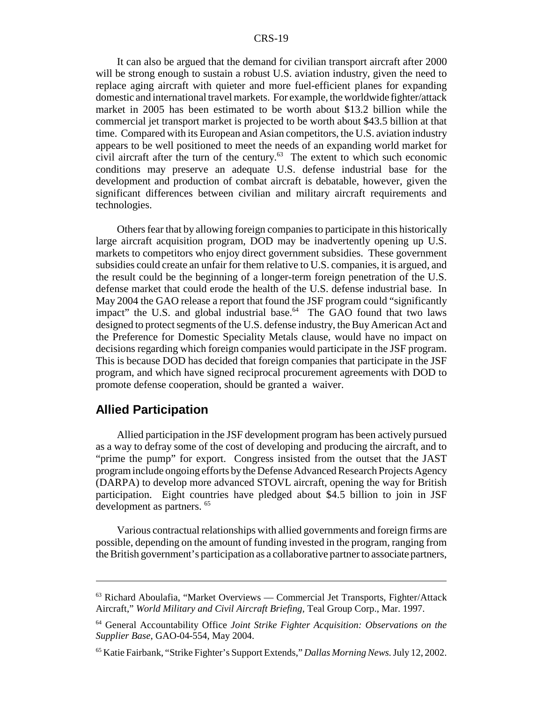It can also be argued that the demand for civilian transport aircraft after 2000 will be strong enough to sustain a robust U.S. aviation industry, given the need to replace aging aircraft with quieter and more fuel-efficient planes for expanding domestic and international travel markets. For example, the worldwide fighter/attack market in 2005 has been estimated to be worth about \$13.2 billion while the commercial jet transport market is projected to be worth about \$43.5 billion at that time. Compared with its European and Asian competitors, the U.S. aviation industry appears to be well positioned to meet the needs of an expanding world market for civil aircraft after the turn of the century. $63$  The extent to which such economic conditions may preserve an adequate U.S. defense industrial base for the development and production of combat aircraft is debatable, however, given the significant differences between civilian and military aircraft requirements and technologies.

Others fear that by allowing foreign companies to participate in this historically large aircraft acquisition program, DOD may be inadvertently opening up U.S. markets to competitors who enjoy direct government subsidies. These government subsidies could create an unfair for them relative to U.S. companies, it is argued, and the result could be the beginning of a longer-term foreign penetration of the U.S. defense market that could erode the health of the U.S. defense industrial base. In May 2004 the GAO release a report that found the JSF program could "significantly impact" the U.S. and global industrial base. $64$  The GAO found that two laws designed to protect segments of the U.S. defense industry, the Buy American Act and the Preference for Domestic Speciality Metals clause, would have no impact on decisions regarding which foreign companies would participate in the JSF program. This is because DOD has decided that foreign companies that participate in the JSF program, and which have signed reciprocal procurement agreements with DOD to promote defense cooperation, should be granted a waiver.

#### **Allied Participation**

Allied participation in the JSF development program has been actively pursued as a way to defray some of the cost of developing and producing the aircraft, and to "prime the pump" for export. Congress insisted from the outset that the JAST program include ongoing efforts by the Defense Advanced Research Projects Agency (DARPA) to develop more advanced STOVL aircraft, opening the way for British participation. Eight countries have pledged about \$4.5 billion to join in JSF development as partners. 65

Various contractual relationships with allied governments and foreign firms are possible, depending on the amount of funding invested in the program, ranging from the British government's participation as a collaborative partner to associate partners,

 $63$  Richard Aboulafia, "Market Overviews — Commercial Jet Transports, Fighter/Attack Aircraft," *World Military and Civil Aircraft Briefing,* Teal Group Corp., Mar. 1997.

<sup>64</sup> General Accountability Office *Joint Strike Fighter Acquisition: Observations on the Supplier Base*, GAO-04-554, May 2004.

<sup>65</sup> Katie Fairbank, "Strike Fighter's Support Extends," *Dallas Morning News.* July 12, 2002.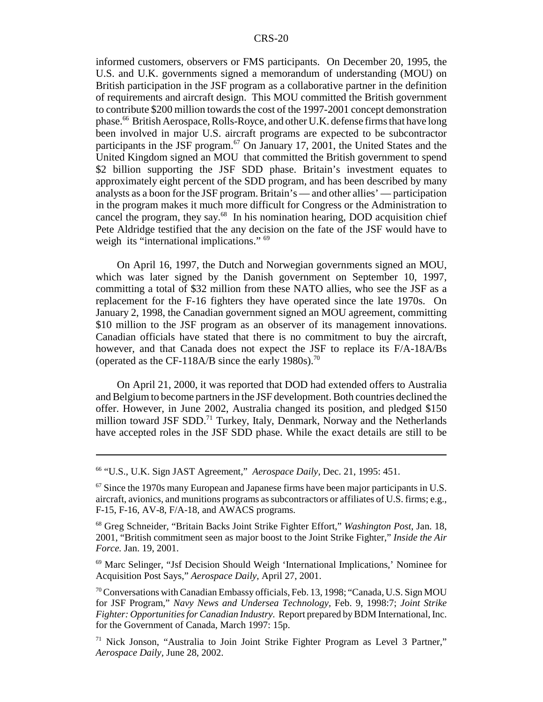informed customers, observers or FMS participants. On December 20, 1995, the U.S. and U.K. governments signed a memorandum of understanding (MOU) on British participation in the JSF program as a collaborative partner in the definition of requirements and aircraft design. This MOU committed the British government to contribute \$200 million towards the cost of the 1997-2001 concept demonstration phase.66 British Aerospace, Rolls-Royce, and other U.K. defense firms that have long been involved in major U.S. aircraft programs are expected to be subcontractor participants in the JSF program.<sup>67</sup> On January 17, 2001, the United States and the United Kingdom signed an MOU that committed the British government to spend \$2 billion supporting the JSF SDD phase. Britain's investment equates to approximately eight percent of the SDD program, and has been described by many analysts as a boon for the JSF program. Britain's — and other allies' — participation in the program makes it much more difficult for Congress or the Administration to cancel the program, they say. $68$  In his nomination hearing, DOD acquisition chief Pete Aldridge testified that the any decision on the fate of the JSF would have to weigh its "international implications." <sup>69</sup>

On April 16, 1997, the Dutch and Norwegian governments signed an MOU, which was later signed by the Danish government on September 10, 1997, committing a total of \$32 million from these NATO allies, who see the JSF as a replacement for the F-16 fighters they have operated since the late 1970s. On January 2, 1998, the Canadian government signed an MOU agreement, committing \$10 million to the JSF program as an observer of its management innovations. Canadian officials have stated that there is no commitment to buy the aircraft, however, and that Canada does not expect the JSF to replace its F/A-18A/Bs (operated as the CF-118A/B since the early 1980s).<sup>70</sup>

On April 21, 2000, it was reported that DOD had extended offers to Australia and Belgium to become partners in the JSF development. Both countries declined the offer. However, in June 2002, Australia changed its position, and pledged \$150 million toward JSF SDD.<sup>71</sup> Turkey, Italy, Denmark, Norway and the Netherlands have accepted roles in the JSF SDD phase. While the exact details are still to be

<sup>66 &</sup>quot;U.S., U.K. Sign JAST Agreement," *Aerospace Daily,* Dec. 21, 1995: 451.

<sup>&</sup>lt;sup>67</sup> Since the 1970s many European and Japanese firms have been major participants in U.S. aircraft, avionics, and munitions programs as subcontractors or affiliates of U.S. firms; e.g., F-15, F-16, AV-8, F/A-18, and AWACS programs.

<sup>68</sup> Greg Schneider, "Britain Backs Joint Strike Fighter Effort," *Washington Post*, Jan. 18, 2001, "British commitment seen as major boost to the Joint Strike Fighter," *Inside the Air Force.* Jan. 19, 2001.

<sup>69</sup> Marc Selinger, "Jsf Decision Should Weigh 'International Implications,' Nominee for Acquisition Post Says," *Aerospace Daily,* April 27, 2001.

<sup>70</sup> Conversations with Canadian Embassy officials, Feb. 13, 1998; "Canada, U.S. Sign MOU for JSF Program," *Navy News and Undersea Technology,* Feb. 9, 1998:7; *Joint Strike Fighter: Opportunities for Canadian Industry.* Report prepared by BDM International, Inc. for the Government of Canada, March 1997: 15p.

<sup>71</sup> Nick Jonson, "Australia to Join Joint Strike Fighter Program as Level 3 Partner," *Aerospace Daily,* June 28, 2002.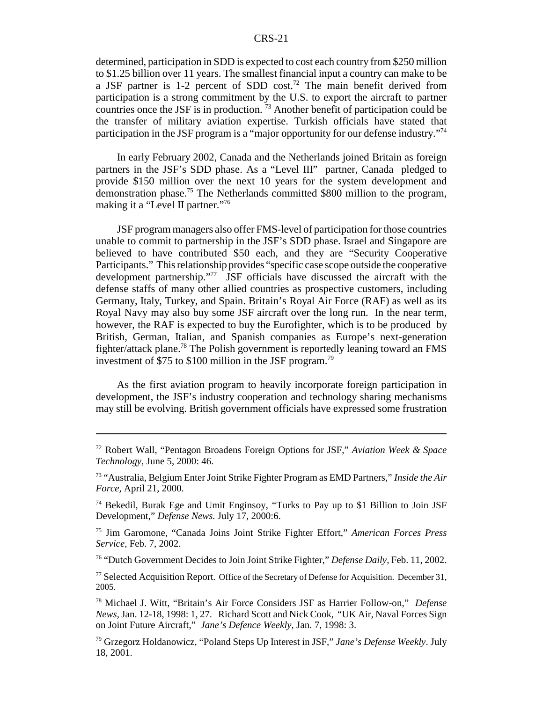determined, participation in SDD is expected to cost each country from \$250 million to \$1.25 billion over 11 years. The smallest financial input a country can make to be a JSF partner is 1-2 percent of SDD cost.<sup>72</sup> The main benefit derived from participation is a strong commitment by the U.S. to export the aircraft to partner countries once the JSF is in production.  $\frac{73}{3}$  Another benefit of participation could be the transfer of military aviation expertise. Turkish officials have stated that participation in the JSF program is a "major opportunity for our defense industry."74

In early February 2002, Canada and the Netherlands joined Britain as foreign partners in the JSF's SDD phase. As a "Level III" partner, Canada pledged to provide \$150 million over the next 10 years for the system development and demonstration phase.75 The Netherlands committed \$800 million to the program, making it a "Level II partner."<sup>76</sup>

JSF program managers also offer FMS-level of participation for those countries unable to commit to partnership in the JSF's SDD phase. Israel and Singapore are believed to have contributed \$50 each, and they are "Security Cooperative Participants." This relationship provides "specific case scope outside the cooperative development partnership."77 JSF officials have discussed the aircraft with the defense staffs of many other allied countries as prospective customers, including Germany, Italy, Turkey, and Spain. Britain's Royal Air Force (RAF) as well as its Royal Navy may also buy some JSF aircraft over the long run. In the near term, however, the RAF is expected to buy the Eurofighter, which is to be produced by British, German, Italian, and Spanish companies as Europe's next-generation fighter/attack plane.78 The Polish government is reportedly leaning toward an FMS investment of \$75 to \$100 million in the JSF program.<sup>79</sup>

As the first aviation program to heavily incorporate foreign participation in development, the JSF's industry cooperation and technology sharing mechanisms may still be evolving. British government officials have expressed some frustration

76 "Dutch Government Decides to Join Joint Strike Fighter," *Defense Daily,* Feb. 11, 2002.

<sup>77</sup> Selected Acquisition Report. Office of the Secretary of Defense for Acquisition. December 31, 2005.

78 Michael J. Witt, "Britain's Air Force Considers JSF as Harrier Follow-on," *Defense News,* Jan. 12-18, 1998: 1, 27. Richard Scott and Nick Cook, "UK Air, Naval Forces Sign on Joint Future Aircraft," *Jane's Defence Weekly,* Jan. 7, 1998: 3.

79 Grzegorz Holdanowicz, "Poland Steps Up Interest in JSF," *Jane's Defense Weekly*. July 18, 2001.

<sup>72</sup> Robert Wall, "Pentagon Broadens Foreign Options for JSF," *Aviation Week & Space Technology,* June 5, 2000: 46.

<sup>73 &</sup>quot;Australia, Belgium Enter Joint Strike Fighter Program as EMD Partners," *Inside the Air Force,* April 21, 2000.

<sup>74</sup> Bekedil, Burak Ege and Umit Enginsoy, "Turks to Pay up to \$1 Billion to Join JSF Development," *Defense News.* July 17, 2000:6.

<sup>75</sup> Jim Garomone, "Canada Joins Joint Strike Fighter Effort," *American Forces Press Service,* Feb. 7, 2002.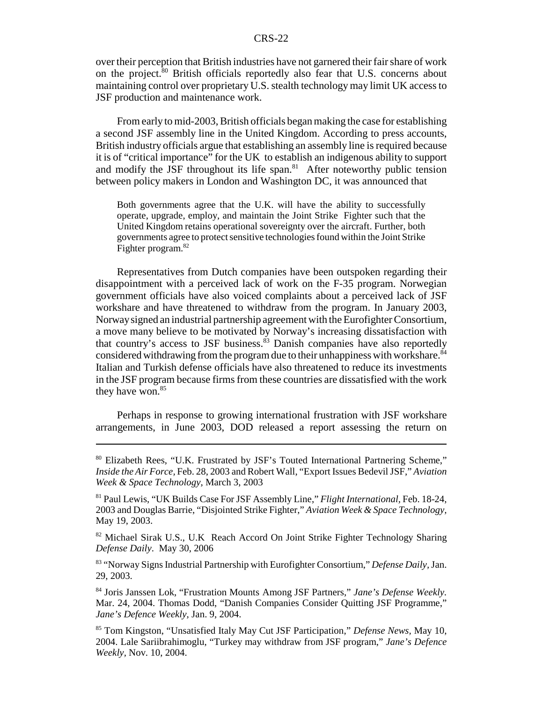over their perception that British industries have not garnered their fair share of work on the project.<sup>80</sup> British officials reportedly also fear that U.S. concerns about maintaining control over proprietary U.S. stealth technology may limit UK access to JSF production and maintenance work.

From early to mid-2003, British officials began making the case for establishing a second JSF assembly line in the United Kingdom. According to press accounts, British industry officials argue that establishing an assembly line is required because it is of "critical importance" for the UK to establish an indigenous ability to support and modify the JSF throughout its life span. $81$  After noteworthy public tension between policy makers in London and Washington DC, it was announced that

Both governments agree that the U.K. will have the ability to successfully operate, upgrade, employ, and maintain the Joint Strike Fighter such that the United Kingdom retains operational sovereignty over the aircraft. Further, both governments agree to protect sensitive technologies found within the Joint Strike Fighter program.<sup>82</sup>

Representatives from Dutch companies have been outspoken regarding their disappointment with a perceived lack of work on the F-35 program. Norwegian government officials have also voiced complaints about a perceived lack of JSF workshare and have threatened to withdraw from the program. In January 2003, Norway signed an industrial partnership agreement with the Eurofighter Consortium, a move many believe to be motivated by Norway's increasing dissatisfaction with that country's access to JSF business. $83$  Danish companies have also reportedly considered withdrawing from the program due to their unhappiness with workshare.<sup>84</sup> Italian and Turkish defense officials have also threatened to reduce its investments in the JSF program because firms from these countries are dissatisfied with the work they have won.<sup>85</sup>

Perhaps in response to growing international frustration with JSF workshare arrangements, in June 2003, DOD released a report assessing the return on

<sup>80</sup> Elizabeth Rees, "U.K. Frustrated by JSF's Touted International Partnering Scheme," *Inside the Air Force,* Feb. 28, 2003 and Robert Wall, "Export Issues Bedevil JSF," *Aviation Week & Space Technology,* March 3, 2003

<sup>81</sup> Paul Lewis, "UK Builds Case For JSF Assembly Line," *Flight International,* Feb. 18-24, 2003 and Douglas Barrie, "Disjointed Strike Fighter," *Aviation Week & Space Technology,* May 19, 2003.

<sup>&</sup>lt;sup>82</sup> Michael Sirak U.S., U.K Reach Accord On Joint Strike Fighter Technology Sharing *Defense Daily*. May 30, 2006

<sup>83 &</sup>quot;Norway Signs Industrial Partnership with Eurofighter Consortium," *Defense Daily,* Jan. 29, 2003.

<sup>84</sup> Joris Janssen Lok, "Frustration Mounts Among JSF Partners," *Jane's Defense Weekly.* Mar. 24, 2004. Thomas Dodd, "Danish Companies Consider Quitting JSF Programme," *Jane's Defence Weekly,* Jan. 9, 2004.

<sup>85</sup> Tom Kingston, "Unsatisfied Italy May Cut JSF Participation," *Defense News,* May 10, 2004. Lale Sariibrahimoglu, "Turkey may withdraw from JSF program," *Jane's Defence Weekly,* Nov. 10, 2004.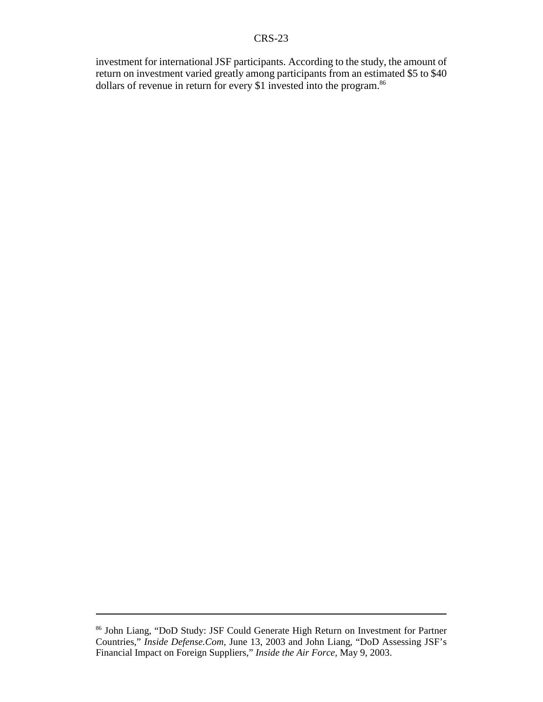investment for international JSF participants. According to the study, the amount of return on investment varied greatly among participants from an estimated \$5 to \$40 dollars of revenue in return for every \$1 invested into the program.<sup>86</sup>

<sup>86</sup> John Liang, "DoD Study: JSF Could Generate High Return on Investment for Partner Countries," *Inside Defense.Com,* June 13, 2003 and John Liang, "DoD Assessing JSF's Financial Impact on Foreign Suppliers," *Inside the Air Force,* May 9, 2003.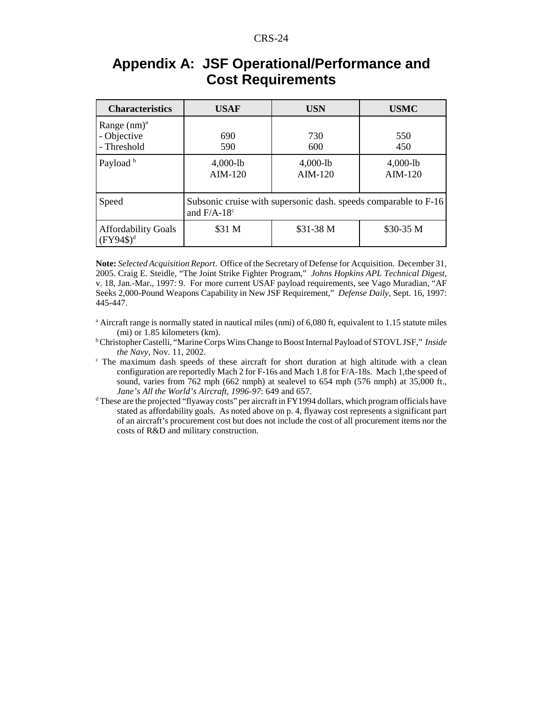### **Appendix A: JSF Operational/Performance and Cost Requirements**

| <b>Characteristics</b>                              | <b>USAF</b>                                                                      | <b>USN</b>              | <b>USMC</b>             |  |
|-----------------------------------------------------|----------------------------------------------------------------------------------|-------------------------|-------------------------|--|
| Range $(nm)^a$<br>- Objective<br>- Threshold        | 690<br>590                                                                       | 730<br>600              | 550<br>450              |  |
| Payload <sup>b</sup>                                | $4,000-lb$<br>$AIM-120$                                                          | $4,000-lb$<br>$AIM-120$ | $4,000-lb$<br>$AIM-120$ |  |
| Speed                                               | Subsonic cruise with supersonic dash. speeds comparable to F-16<br>and $F/A-18c$ |                         |                         |  |
| <b>Affordability Goals</b><br>$(FY94\$ <sup>d</sup> | \$31 M                                                                           | \$31-38 M               | \$30-35 M               |  |

**Note:** *Selected Acquisition Report*. Office of the Secretary of Defense for Acquisition. December 31, 2005. Craig E. Steidle, "The Joint Strike Fighter Program," *Johns Hopkins APL Technical Digest,* v. 18, Jan.-Mar., 1997: 9. For more current USAF payload requirements, see Vago Muradian, "AF Seeks 2,000-Pound Weapons Capability in New JSF Requirement," *Defense Daily,* Sept. 16, 1997: 445-447.

- <sup>a</sup> Aircraft range is normally stated in nautical miles (nmi) of 6,080 ft, equivalent to 1.15 statute miles (mi) or 1.85 kilometers (km).
- b Christopher Castelli, "Marine Corps Wins Change to Boost Internal Payload of STOVL JSF," *Inside the Navy,* Nov. 11, 2002.
- <sup>c</sup> The maximum dash speeds of these aircraft for short duration at high altitude with a clean configuration are reportedly Mach 2 for F-16s and Mach 1.8 for F/A-18s. Mach 1,the speed of sound, varies from 762 mph (662 nmph) at sealevel to 654 mph (576 nmph) at 35,000 ft., *Jane's All the World's Aircraft, 1996-97*: 649 and 657.
- <sup>d</sup> These are the projected "flyaway costs" per aircraft in FY1994 dollars, which program officials have stated as affordability goals. As noted above on p. 4, flyaway cost represents a significant part of an aircraft's procurement cost but does not include the cost of all procurement items nor the costs of R&D and military construction.